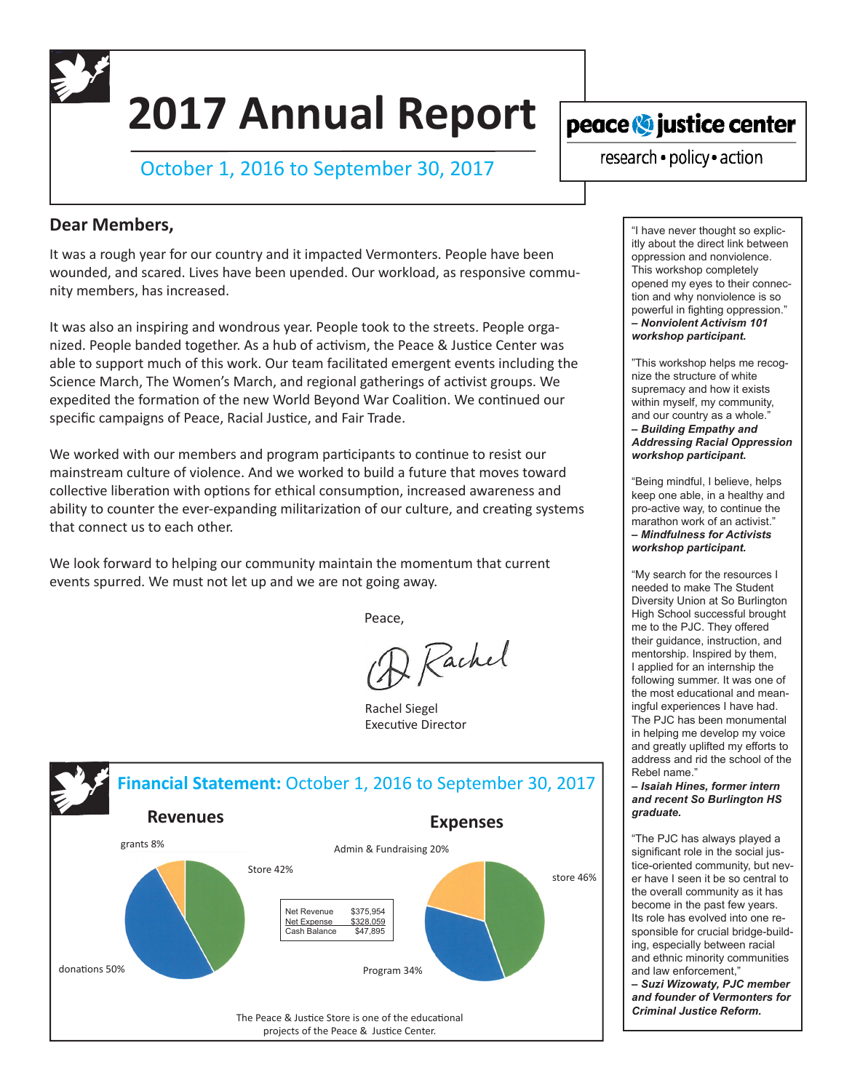# **2017 Annual Report**

October 1, 2016 to September 30, 2017

## **Dear Members,**

It was a rough year for our country and it impacted Vermonters. People have been wounded, and scared. Lives have been upended. Our workload, as responsive community members, has increased.

It was also an inspiring and wondrous year. People took to the streets. People organized. People banded together. As a hub of activism, the Peace & Justice Center was able to support much of this work. Our team facilitated emergent events including the Science March, The Women's March, and regional gatherings of activist groups. We expedited the formation of the new World Beyond War Coalition. We continued our specific campaigns of Peace, Racial Justice, and Fair Trade.

We worked with our members and program participants to continue to resist our mainstream culture of violence. And we worked to build a future that moves toward collective liberation with options for ethical consumption, increased awareness and ability to counter the ever-expanding militarization of our culture, and creating systems that connect us to each other.

We look forward to helping our community maintain the momentum that current events spurred. We must not let up and we are not going away.

**Peace,** The Contract of the Peace,

2 Rachel

Rachel Siegel Executive Director



peace **O** justice center

research · policy · action

"I have never thought so explicitly about the direct link between oppression and nonviolence. This workshop completely opened my eyes to their connection and why nonviolence is so powerful in fighting oppression." *‒ Nonviolent Activism 101 workshop participant.*

"This workshop helps me recognize the structure of white supremacy and how it exists within myself, my community, and our country as a whole."

*‒ Building Empathy and Addressing Racial Oppression workshop participant.*

"Being mindful, I believe, helps keep one able, in a healthy and pro-active way, to continue the marathon work of an activist." *‒ Mindfulness for Activists workshop participant.*

"My search for the resources I needed to make The Student Diversity Union at So Burlington High School successful brought me to the PJC. They offered their guidance, instruction, and mentorship. Inspired by them, I applied for an internship the following summer. It was one of the most educational and meaningful experiences I have had. The PJC has been monumental in helping me develop my voice and greatly uplifted my efforts to address and rid the school of the Rebel name."

*‒ Isaiah Hines, former intern and recent So Burlington HS graduate.*

"The PJC has always played a significant role in the social justice-oriented community, but never have I seen it be so central to the overall community as it has become in the past few years. Its role has evolved into one responsible for crucial bridge-building, especially between racial and ethnic minority communities and law enforcement,"

*‒ Suzi Wizowaty, PJC member and founder of Vermonters for Criminal Justice Reform.*